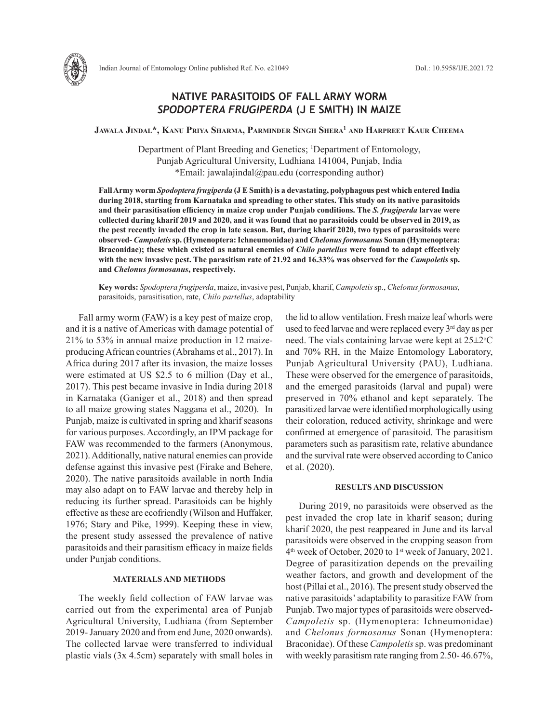

## **NATIVE PARASITOIDS OF FALL ARMY WORM**  *SPODOPTERA FRUGIPERDA* **(J E SMITH) IN MAIZE**

**Jawala Jindal\*, Kanu Priya Sharma, Parminder Singh Shera1 and Harpreet Kaur Cheema**

Department of Plant Breeding and Genetics; <sup>1</sup>Department of Entomology, Punjab Agricultural University, Ludhiana 141004, Punjab, India \*Email: jawalajindal@pau.edu (corresponding author)

**Fall Army worm** *Spodoptera frugiperda* **(J E Smith) is a devastating, polyphagous pest which entered India during 2018, starting from Karnataka and spreading to other states. This study on its native parasitoids and their parasitisation efficiency in maize crop under Punjab conditions. The** *S. frugiperda* **larvae were collected during kharif 2019 and 2020, and it was found that no parasitoids could be observed in 2019, as the pest recently invaded the crop in late season. But, during kharif 2020, two types of parasitoids were observed-** *Campoletis* **sp. (Hymenoptera: Ichneumonidae) and** *Chelonus formosanus* **Sonan (Hymenoptera: Braconidae); these which existed as natural enemies of** *Chilo partellus* **were found to adapt effectively with the new invasive pest. The parasitism rate of 21.92 and 16.33% was observed for the** *Campoletis* **sp. and** *Chelonus formosanus***, respectively.**

**Key words:** *Spodoptera frugiperda*, maize, invasive pest, Punjab, kharif, *Campoletis*sp., *Chelonus formosanus,* parasitoids, parasitisation, rate, *Chilo partellus*, adaptability

Fall army worm (FAW) is a key pest of maize crop, and it is a native of Americas with damage potential of 21% to 53% in annual maize production in 12 maizeproducing African countries (Abrahams et al., 2017). In Africa during 2017 after its invasion, the maize losses were estimated at US \$2.5 to 6 million (Day et al., 2017). This pest became invasive in India during 2018 in Karnataka (Ganiger et al., 2018) and then spread to all maize growing states Naggana et al., 2020). In Punjab, maize is cultivated in spring and kharif seasons for various purposes. Accordingly, an IPM package for FAW was recommended to the farmers (Anonymous, 2021). Additionally, native natural enemies can provide defense against this invasive pest (Firake and Behere, 2020). The native parasitoids available in north India may also adapt on to FAW larvae and thereby help in reducing its further spread. Parasitoids can be highly effective as these are ecofriendly (Wilson and Huffaker, 1976; Stary and Pike, 1999). Keeping these in view, the present study assessed the prevalence of native parasitoids and their parasitism efficacy in maize fields under Punjab conditions.

## **MATERIALS AND METHODS**

The weekly field collection of FAW larvae was carried out from the experimental area of Punjab Agricultural University, Ludhiana (from September 2019- January 2020 and from end June, 2020 onwards). The collected larvae were transferred to individual plastic vials (3x 4.5cm) separately with small holes in

the lid to allow ventilation. Fresh maize leaf whorls were used to feed larvae and were replaced every 3<sup>rd</sup> day as per need. The vials containing larvae were kept at  $25 \pm 2$ °C and 70% RH, in the Maize Entomology Laboratory, Punjab Agricultural University (PAU), Ludhiana. These were observed for the emergence of parasitoids, and the emerged parasitoids (larval and pupal) were preserved in 70% ethanol and kept separately. The parasitized larvae were identified morphologically using their coloration, reduced activity, shrinkage and were confirmed at emergence of parasitoid. The parasitism parameters such as parasitism rate, relative abundance and the survival rate were observed according to Canico et al. (2020).

## **RESULTS AND DISCUSSION**

During 2019, no parasitoids were observed as the pest invaded the crop late in kharif season; during kharif 2020, the pest reappeared in June and its larval parasitoids were observed in the cropping season from 4<sup>th</sup> week of October, 2020 to 1<sup>st</sup> week of January, 2021. Degree of parasitization depends on the prevailing weather factors, and growth and development of the host (Pillai et al., 2016). The present study observed the native parasitoids' adaptability to parasitize FAW from Punjab. Two major types of parasitoids were observed-*Campoletis* sp. (Hymenoptera: Ichneumonidae) and *Chelonus formosanus* Sonan (Hymenoptera: Braconidae). Of these *Campoletis* sp. was predominant with weekly parasitism rate ranging from 2.50-46.67%,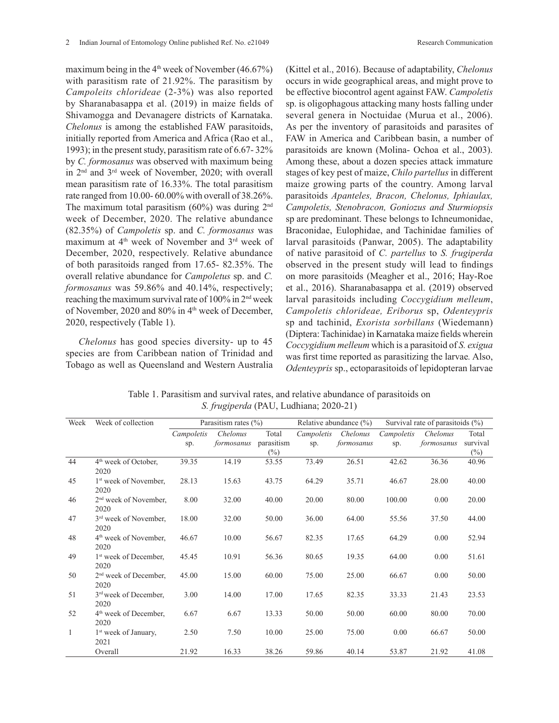maximum being in the  $4<sup>th</sup>$  week of November (46.67%) with parasitism rate of 21.92%. The parasitism by *Campoleits chlorideae* (2-3%) was also reported by Sharanabasappa et al. (2019) in maize fields of Shivamogga and Devanagere districts of Karnataka. *Chelonus* is among the established FAW parasitoids, initially reported from America and Africa (Rao et al., 1993); in the present study, parasitism rate of 6.67- 32% by *C. formosanus* was observed with maximum being in 2nd and 3rd week of November, 2020; with overall mean parasitism rate of 16.33%. The total parasitism rate ranged from 10.00- 60.00% with overall of 38.26%. The maximum total parasitism  $(60\%)$  was during  $2<sup>nd</sup>$ week of December, 2020. The relative abundance (82.35%) of *Campoletis* sp. and *C. formosanus* was maximum at 4th week of November and 3rd week of December, 2020, respectively. Relative abundance of both parasitoids ranged from 17.65- 82.35%. The overall relative abundance for *Campoletus* sp. and *C. formosanus* was 59.86% and 40.14%, respectively; reaching the maximum survival rate of 100% in 2nd week of November, 2020 and 80% in 4<sup>th</sup> week of December, 2020, respectively (Table 1).

*Chelonus* has good species diversity- up to 45 species are from Caribbean nation of Trinidad and Tobago as well as Queensland and Western Australia (Kittel et al., 2016). Because of adaptability, *Chelonus*  occurs in wide geographical areas, and might prove to be effective biocontrol agent against FAW. *Campoletis* sp. is oligophagous attacking many hosts falling under several genera in Noctuidae (Murua et al., 2006). As per the inventory of parasitoids and parasites of FAW in America and Caribbean basin, a number of parasitoids are known (Molina- Ochoa et al., 2003). Among these, about a dozen species attack immature stages of key pest of maize, *Chilo partellus* in different maize growing parts of the country. Among larval parasitoids *Apanteles, Bracon, Chelonus, Iphiaulax, Campoletis, Stenobracon, Goniozus and Sturmiopsis*  sp are predominant. These belongs to Ichneumonidae, Braconidae, Eulophidae, and Tachinidae families of larval parasitoids (Panwar, 2005). The adaptability of native parasitoid of *C. partellus* to *S. frugiperda* observed in the present study will lead to findings on more parasitoids (Meagher et al., 2016; Hay-Roe et al., 2016). Sharanabasappa et al. (2019) observed larval parasitoids including *Coccygidium melleum*, *Campoletis chlorideae, Eriborus* sp, *Odenteypris*  sp and tachinid, *Exorista sorbillans* (Wiedemann) (Diptera: Tachinidae) in Karnataka maize fields wherein *Coccygidium melleum* which is a parasitoid of *S. exigua* was first time reported as parasitizing the larvae*.* Also, *Odenteypris* sp., ectoparasitoids of lepidopteran larvae

| Week | Week of collection                        | Parasitism rates $(\% )$ |            |            | Relative abundance $(\% )$ |            | Survival rate of parasitoids $(\% )$ |            |          |
|------|-------------------------------------------|--------------------------|------------|------------|----------------------------|------------|--------------------------------------|------------|----------|
|      |                                           | Campoletis               | Chelonus   | Total      | Campoletis                 | Chelonus   | Campoletis                           | Chelonus   | Total    |
|      |                                           | sp.                      | formosanus | parasitism | sp.                        | formosanus | Sp.                                  | formosanus | survival |
|      |                                           |                          |            | $(\%)$     |                            |            |                                      |            | $(\%)$   |
| 44   | 4 <sup>th</sup> week of October,<br>2020  | 39.35                    | 14.19      | 53.55      | 73.49                      | 26.51      | 42.62                                | 36.36      | 40.96    |
| 45   | 1 <sup>st</sup> week of November.<br>2020 | 28.13                    | 15.63      | 43.75      | 64.29                      | 35.71      | 46.67                                | 28.00      | 40.00    |
| 46   | $2nd$ week of November,<br>2020           | 8.00                     | 32.00      | 40.00      | 20.00                      | 80.00      | 100.00                               | 0.00       | 20.00    |
| 47   | 3 <sup>rd</sup> week of November,<br>2020 | 18.00                    | 32.00      | 50.00      | 36.00                      | 64.00      | 55.56                                | 37.50      | 44.00    |
| 48   | 4 <sup>th</sup> week of November,<br>2020 | 46.67                    | 10.00      | 56.67      | 82.35                      | 17.65      | 64.29                                | 0.00       | 52.94    |
| 49   | 1 <sup>st</sup> week of December,<br>2020 | 45.45                    | 10.91      | 56.36      | 80.65                      | 19.35      | 64.00                                | 0.00       | 51.61    |
| 50   | 2 <sup>nd</sup> week of December,<br>2020 | 45.00                    | 15.00      | 60.00      | 75.00                      | 25.00      | 66.67                                | 0.00       | 50.00    |
| 51   | 3 <sup>rd</sup> week of December,<br>2020 | 3.00                     | 14.00      | 17.00      | 17.65                      | 82.35      | 33.33                                | 21.43      | 23.53    |
| 52   | 4 <sup>th</sup> week of December,<br>2020 | 6.67                     | 6.67       | 13.33      | 50.00                      | 50.00      | 60.00                                | 80.00      | 70.00    |
| 1    | 1 <sup>st</sup> week of January,<br>2021  | 2.50                     | 7.50       | 10.00      | 25.00                      | 75.00      | 0.00                                 | 66.67      | 50.00    |
|      | Overall                                   | 21.92                    | 16.33      | 38.26      | 59.86                      | 40.14      | 53.87                                | 21.92      | 41.08    |

Table 1. Parasitism and survival rates, and relative abundance of parasitoids on *S. frugiperda* (PAU, Ludhiana; 2020-21)